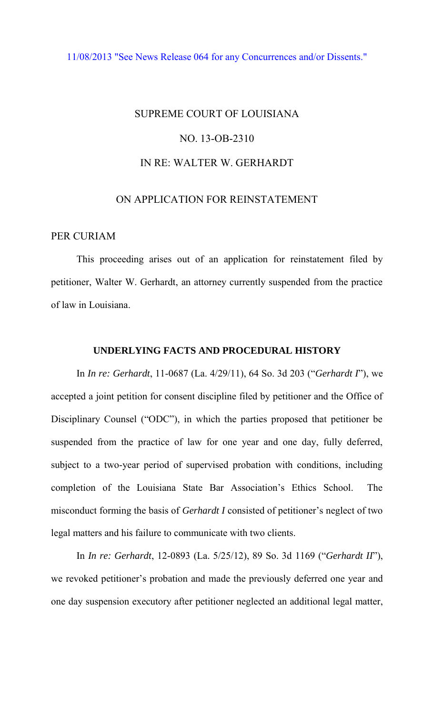## [11/08/2013 "See News Release 064 for any Concurrences and/or Dissents."](http://www.lasc.org/Actions?p=2013-064)

# SUPREME COURT OF LOUISIANA NO. 13-OB-2310 IN RE: WALTER W. GERHARDT

# ON APPLICATION FOR REINSTATEMENT

### PER CURIAM

 This proceeding arises out of an application for reinstatement filed by petitioner, Walter W. Gerhardt, an attorney currently suspended from the practice of law in Louisiana.

#### **UNDERLYING FACTS AND PROCEDURAL HISTORY**

 In *In re: Gerhardt*, 11-0687 (La. 4/29/11), 64 So. 3d 203 ("*Gerhardt I*"), we accepted a joint petition for consent discipline filed by petitioner and the Office of Disciplinary Counsel ("ODC"), in which the parties proposed that petitioner be suspended from the practice of law for one year and one day, fully deferred, subject to a two-year period of supervised probation with conditions, including completion of the Louisiana State Bar Association's Ethics School. The misconduct forming the basis of *Gerhardt I* consisted of petitioner's neglect of two legal matters and his failure to communicate with two clients.

In *In re: Gerhardt*, 12-0893 (La. 5/25/12), 89 So. 3d 1169 ("*Gerhardt II*"), we revoked petitioner's probation and made the previously deferred one year and one day suspension executory after petitioner neglected an additional legal matter,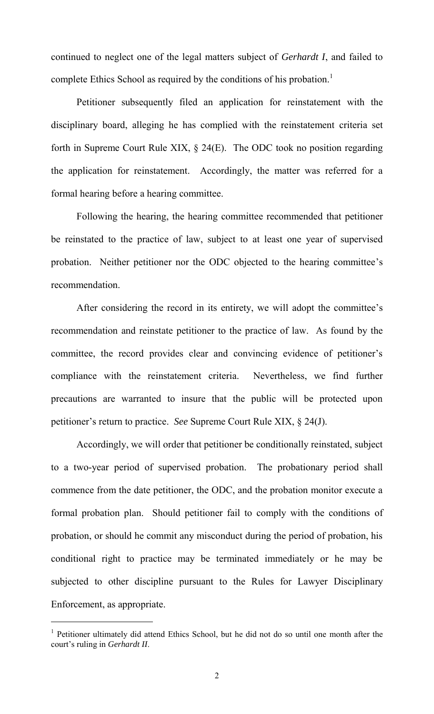continued to neglect one of the legal matters subject of *Gerhardt I*, and failed to complete Ethics School as required by the conditions of his probation.<sup>1</sup>

Petitioner subsequently filed an application for reinstatement with the disciplinary board, alleging he has complied with the reinstatement criteria set forth in Supreme Court Rule XIX, § 24(E). The ODC took no position regarding the application for reinstatement. Accordingly, the matter was referred for a formal hearing before a hearing committee.

 Following the hearing, the hearing committee recommended that petitioner be reinstated to the practice of law, subject to at least one year of supervised probation. Neither petitioner nor the ODC objected to the hearing committee's recommendation.

 After considering the record in its entirety, we will adopt the committee's recommendation and reinstate petitioner to the practice of law. As found by the committee, the record provides clear and convincing evidence of petitioner's compliance with the reinstatement criteria. Nevertheless, we find further precautions are warranted to insure that the public will be protected upon petitioner's return to practice. *See* Supreme Court Rule XIX, § 24(J).

Accordingly, we will order that petitioner be conditionally reinstated, subject to a two-year period of supervised probation. The probationary period shall commence from the date petitioner, the ODC, and the probation monitor execute a formal probation plan. Should petitioner fail to comply with the conditions of probation, or should he commit any misconduct during the period of probation, his conditional right to practice may be terminated immediately or he may be subjected to other discipline pursuant to the Rules for Lawyer Disciplinary Enforcement, as appropriate.

 $\overline{a}$ 

<sup>&</sup>lt;sup>1</sup> Petitioner ultimately did attend Ethics School, but he did not do so until one month after the court's ruling in *Gerhardt II*.